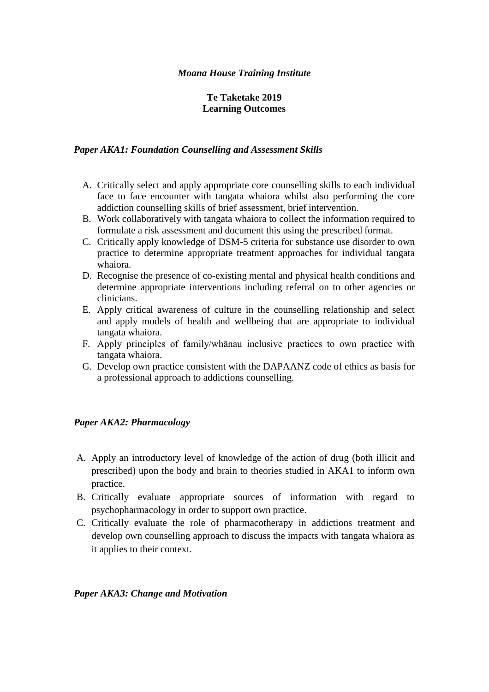### *Moana House Training Institute*

## **Te Taketake 2019 Learning Outcomes**

### *Paper AKA1: Foundation Counselling and Assessment Skills*

- A. Critically select and apply appropriate core counselling skills to each individual face to face encounter with tangata whaiora whilst also performing the core addiction counselling skills of brief assessment, brief intervention.
- B. Work collaboratively with tangata whaiora to collect the information required to formulate a risk assessment and document this using the prescribed format.
- C. Critically apply knowledge of DSM-5 criteria for substance use disorder to own practice to determine appropriate treatment approaches for individual tangata whaiora.
- D. Recognise the presence of co-existing mental and physical health conditions and determine appropriate interventions including referral on to other agencies or clinicians.
- E. Apply critical awareness of culture in the counselling relationship and select and apply models of health and wellbeing that are appropriate to individual tangata whaiora.
- F. Apply principles of family/whānau inclusive practices to own practice with tangata whaiora.
- G. Develop own practice consistent with the DAPAANZ code of ethics as basis for a professional approach to addictions counselling.

### *Paper AKA2: Pharmacology*

- A. Apply an introductory level of knowledge of the action of drug (both illicit and prescribed) upon the body and brain to theories studied in AKA1 to inform own practice.
- B. Critically evaluate appropriate sources of information with regard to psychopharmacology in order to support own practice.
- C. Critically evaluate the role of pharmacotherapy in addictions treatment and develop own counselling approach to discuss the impacts with tangata whaiora as it applies to their context.

#### *Paper AKA3: Change and Motivation*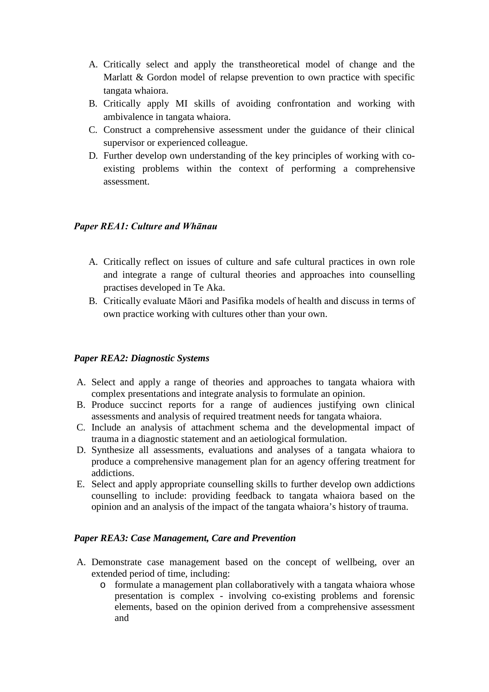- A. Critically select and apply the transtheoretical model of change and the Marlatt & Gordon model of relapse prevention to own practice with specific tangata whaiora.
- B. Critically apply MI skills of avoiding confrontation and working with ambivalence in tangata whaiora.
- C. Construct a comprehensive assessment under the guidance of their clinical supervisor or experienced colleague.
- D. Further develop own understanding of the key principles of working with coexisting problems within the context of performing a comprehensive assessment.

## *Paper REA1: Culture and Whānau*

- A. Critically reflect on issues of culture and safe cultural practices in own role and integrate a range of cultural theories and approaches into counselling practises developed in Te Aka.
- B. Critically evaluate Māori and Pasifika models of health and discuss in terms of own practice working with cultures other than your own.

## *Paper REA2: Diagnostic Systems*

- A. Select and apply a range of theories and approaches to tangata whaiora with complex presentations and integrate analysis to formulate an opinion.
- B. Produce succinct reports for a range of audiences justifying own clinical assessments and analysis of required treatment needs for tangata whaiora.
- C. Include an analysis of attachment schema and the developmental impact of trauma in a diagnostic statement and an aetiological formulation.
- D. Synthesize all assessments, evaluations and analyses of a tangata whaiora to produce a comprehensive management plan for an agency offering treatment for addictions.
- E. Select and apply appropriate counselling skills to further develop own addictions counselling to include: providing feedback to tangata whaiora based on the opinion and an analysis of the impact of the tangata whaiora's history of trauma.

### *Paper REA3: Case Management, Care and Prevention*

- A. Demonstrate case management based on the concept of wellbeing, over an extended period of time, including:
	- o formulate a management plan collaboratively with a tangata whaiora whose presentation is complex - involving co-existing problems and forensic elements, based on the opinion derived from a comprehensive assessment and